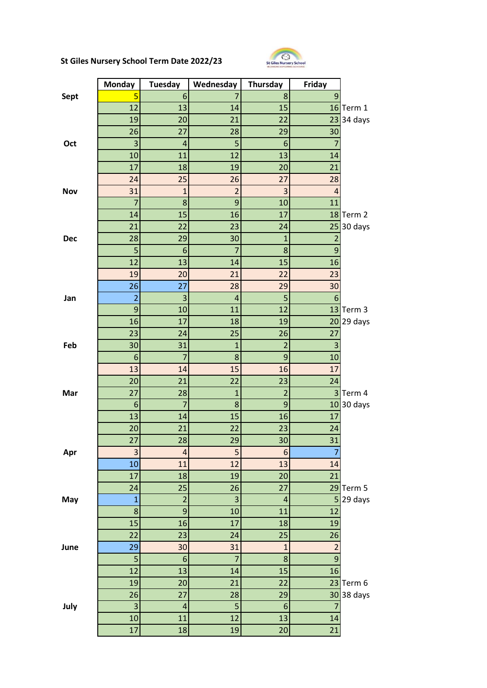## **St Giles Nursery School Term Date 2022/23**



| 6<br>5<br>8<br><b>Sept</b><br>9<br>7<br>12<br>13<br>15<br>16<br>Term 1<br>14<br>23<br>19<br>20<br>21<br>22<br>26<br>28<br>29<br>30<br>27<br>3<br>5<br>$\overline{4}$<br>6<br>Oct<br>10<br>12<br>13<br>11<br>14<br>17<br>18<br>19<br>21<br>20<br>24<br>25<br>26<br>27<br>28<br>31<br>$\overline{2}$<br>3<br>$\mathbf{1}$<br>$\overline{4}$<br><b>Nov</b><br>7<br>9<br>8<br>10<br>11<br>14<br>15<br>16<br>17<br>18<br>Term 2<br>21<br>22<br>23<br>25<br>30 days<br>24<br>28<br>29<br>30<br>$\mathbf{1}$<br>$\overline{2}$<br><b>Dec</b><br>5<br>$\overline{7}$<br>9<br>8<br>6<br>12<br>13<br>15<br>14<br>16<br>19<br>23<br>20<br>21<br>22<br>27<br>30<br>26<br>28<br>29<br>$\overline{a}$<br>$\overline{3}$<br>5<br>4<br>$6\phantom{1}6$<br>Jan<br>9<br>10<br>11<br>12<br>13<br>Term 3<br>16<br>17<br>18<br>19<br>20<br>29 days<br>23<br>25<br>24<br>26<br>27<br>30<br>Feb<br>31<br>$\mathbf{1}$<br>$\overline{2}$<br>3<br>6<br>$\overline{7}$<br>9<br>8<br>10<br>16<br>13<br>14<br>15<br>17<br>20<br>21<br>22<br>23<br>24<br>27<br>28<br>$\overline{1}$<br>$\overline{2}$<br>$\overline{\mathbf{3}}$<br>Term 4<br>Mar<br>8<br>9<br>30 days<br>6<br>7<br>10<br>15<br>13<br>16<br>14<br>17<br>20<br>22<br>21<br>23<br>24<br>27<br>28<br>29<br>30 <sup>2</sup><br>31<br>3<br>5<br>$\overline{\mathbf{r}}$<br>$6\phantom{1}6$<br>Apr<br>7<br>13<br>10<br>12<br>11<br>14<br>17<br>21<br>18<br>19<br>20<br>Term 5<br>24<br>25<br>26<br>27<br>29<br>3<br>5 <sup>1</sup><br>$\overline{2}$<br>29 days<br>$\overline{1}$<br>$\overline{a}$<br>May<br>9<br>12<br>8<br>10<br>11<br>15<br>16<br>17<br>18<br>19<br>22<br>23<br>26<br>24<br>25<br>29<br>$\overline{c}$<br>30<br>31<br>June<br>$\mathbf{1}$<br>$\overline{7}$<br>9<br>5<br>8<br>$\boldsymbol{6}$ | <b>Monday</b> | <b>Tuesday</b> | Wednesday | Thursday | Friday |         |
|--------------------------------------------------------------------------------------------------------------------------------------------------------------------------------------------------------------------------------------------------------------------------------------------------------------------------------------------------------------------------------------------------------------------------------------------------------------------------------------------------------------------------------------------------------------------------------------------------------------------------------------------------------------------------------------------------------------------------------------------------------------------------------------------------------------------------------------------------------------------------------------------------------------------------------------------------------------------------------------------------------------------------------------------------------------------------------------------------------------------------------------------------------------------------------------------------------------------------------------------------------------------------------------------------------------------------------------------------------------------------------------------------------------------------------------------------------------------------------------------------------------------------------------------------------------------------------------------------------------------------------------------------------------------------------------------------------------------------------------------------|---------------|----------------|-----------|----------|--------|---------|
|                                                                                                                                                                                                                                                                                                                                                                                                                                                                                                                                                                                                                                                                                                                                                                                                                                                                                                                                                                                                                                                                                                                                                                                                                                                                                                                                                                                                                                                                                                                                                                                                                                                                                                                                                  |               |                |           |          |        |         |
|                                                                                                                                                                                                                                                                                                                                                                                                                                                                                                                                                                                                                                                                                                                                                                                                                                                                                                                                                                                                                                                                                                                                                                                                                                                                                                                                                                                                                                                                                                                                                                                                                                                                                                                                                  |               |                |           |          |        |         |
|                                                                                                                                                                                                                                                                                                                                                                                                                                                                                                                                                                                                                                                                                                                                                                                                                                                                                                                                                                                                                                                                                                                                                                                                                                                                                                                                                                                                                                                                                                                                                                                                                                                                                                                                                  |               |                |           |          |        | 34 days |
|                                                                                                                                                                                                                                                                                                                                                                                                                                                                                                                                                                                                                                                                                                                                                                                                                                                                                                                                                                                                                                                                                                                                                                                                                                                                                                                                                                                                                                                                                                                                                                                                                                                                                                                                                  |               |                |           |          |        |         |
|                                                                                                                                                                                                                                                                                                                                                                                                                                                                                                                                                                                                                                                                                                                                                                                                                                                                                                                                                                                                                                                                                                                                                                                                                                                                                                                                                                                                                                                                                                                                                                                                                                                                                                                                                  |               |                |           |          |        |         |
|                                                                                                                                                                                                                                                                                                                                                                                                                                                                                                                                                                                                                                                                                                                                                                                                                                                                                                                                                                                                                                                                                                                                                                                                                                                                                                                                                                                                                                                                                                                                                                                                                                                                                                                                                  |               |                |           |          |        |         |
|                                                                                                                                                                                                                                                                                                                                                                                                                                                                                                                                                                                                                                                                                                                                                                                                                                                                                                                                                                                                                                                                                                                                                                                                                                                                                                                                                                                                                                                                                                                                                                                                                                                                                                                                                  |               |                |           |          |        |         |
|                                                                                                                                                                                                                                                                                                                                                                                                                                                                                                                                                                                                                                                                                                                                                                                                                                                                                                                                                                                                                                                                                                                                                                                                                                                                                                                                                                                                                                                                                                                                                                                                                                                                                                                                                  |               |                |           |          |        |         |
|                                                                                                                                                                                                                                                                                                                                                                                                                                                                                                                                                                                                                                                                                                                                                                                                                                                                                                                                                                                                                                                                                                                                                                                                                                                                                                                                                                                                                                                                                                                                                                                                                                                                                                                                                  |               |                |           |          |        |         |
|                                                                                                                                                                                                                                                                                                                                                                                                                                                                                                                                                                                                                                                                                                                                                                                                                                                                                                                                                                                                                                                                                                                                                                                                                                                                                                                                                                                                                                                                                                                                                                                                                                                                                                                                                  |               |                |           |          |        |         |
|                                                                                                                                                                                                                                                                                                                                                                                                                                                                                                                                                                                                                                                                                                                                                                                                                                                                                                                                                                                                                                                                                                                                                                                                                                                                                                                                                                                                                                                                                                                                                                                                                                                                                                                                                  |               |                |           |          |        |         |
|                                                                                                                                                                                                                                                                                                                                                                                                                                                                                                                                                                                                                                                                                                                                                                                                                                                                                                                                                                                                                                                                                                                                                                                                                                                                                                                                                                                                                                                                                                                                                                                                                                                                                                                                                  |               |                |           |          |        |         |
|                                                                                                                                                                                                                                                                                                                                                                                                                                                                                                                                                                                                                                                                                                                                                                                                                                                                                                                                                                                                                                                                                                                                                                                                                                                                                                                                                                                                                                                                                                                                                                                                                                                                                                                                                  |               |                |           |          |        |         |
|                                                                                                                                                                                                                                                                                                                                                                                                                                                                                                                                                                                                                                                                                                                                                                                                                                                                                                                                                                                                                                                                                                                                                                                                                                                                                                                                                                                                                                                                                                                                                                                                                                                                                                                                                  |               |                |           |          |        |         |
|                                                                                                                                                                                                                                                                                                                                                                                                                                                                                                                                                                                                                                                                                                                                                                                                                                                                                                                                                                                                                                                                                                                                                                                                                                                                                                                                                                                                                                                                                                                                                                                                                                                                                                                                                  |               |                |           |          |        |         |
|                                                                                                                                                                                                                                                                                                                                                                                                                                                                                                                                                                                                                                                                                                                                                                                                                                                                                                                                                                                                                                                                                                                                                                                                                                                                                                                                                                                                                                                                                                                                                                                                                                                                                                                                                  |               |                |           |          |        |         |
|                                                                                                                                                                                                                                                                                                                                                                                                                                                                                                                                                                                                                                                                                                                                                                                                                                                                                                                                                                                                                                                                                                                                                                                                                                                                                                                                                                                                                                                                                                                                                                                                                                                                                                                                                  |               |                |           |          |        |         |
|                                                                                                                                                                                                                                                                                                                                                                                                                                                                                                                                                                                                                                                                                                                                                                                                                                                                                                                                                                                                                                                                                                                                                                                                                                                                                                                                                                                                                                                                                                                                                                                                                                                                                                                                                  |               |                |           |          |        |         |
|                                                                                                                                                                                                                                                                                                                                                                                                                                                                                                                                                                                                                                                                                                                                                                                                                                                                                                                                                                                                                                                                                                                                                                                                                                                                                                                                                                                                                                                                                                                                                                                                                                                                                                                                                  |               |                |           |          |        |         |
|                                                                                                                                                                                                                                                                                                                                                                                                                                                                                                                                                                                                                                                                                                                                                                                                                                                                                                                                                                                                                                                                                                                                                                                                                                                                                                                                                                                                                                                                                                                                                                                                                                                                                                                                                  |               |                |           |          |        |         |
|                                                                                                                                                                                                                                                                                                                                                                                                                                                                                                                                                                                                                                                                                                                                                                                                                                                                                                                                                                                                                                                                                                                                                                                                                                                                                                                                                                                                                                                                                                                                                                                                                                                                                                                                                  |               |                |           |          |        |         |
|                                                                                                                                                                                                                                                                                                                                                                                                                                                                                                                                                                                                                                                                                                                                                                                                                                                                                                                                                                                                                                                                                                                                                                                                                                                                                                                                                                                                                                                                                                                                                                                                                                                                                                                                                  |               |                |           |          |        |         |
|                                                                                                                                                                                                                                                                                                                                                                                                                                                                                                                                                                                                                                                                                                                                                                                                                                                                                                                                                                                                                                                                                                                                                                                                                                                                                                                                                                                                                                                                                                                                                                                                                                                                                                                                                  |               |                |           |          |        |         |
|                                                                                                                                                                                                                                                                                                                                                                                                                                                                                                                                                                                                                                                                                                                                                                                                                                                                                                                                                                                                                                                                                                                                                                                                                                                                                                                                                                                                                                                                                                                                                                                                                                                                                                                                                  |               |                |           |          |        |         |
|                                                                                                                                                                                                                                                                                                                                                                                                                                                                                                                                                                                                                                                                                                                                                                                                                                                                                                                                                                                                                                                                                                                                                                                                                                                                                                                                                                                                                                                                                                                                                                                                                                                                                                                                                  |               |                |           |          |        |         |
|                                                                                                                                                                                                                                                                                                                                                                                                                                                                                                                                                                                                                                                                                                                                                                                                                                                                                                                                                                                                                                                                                                                                                                                                                                                                                                                                                                                                                                                                                                                                                                                                                                                                                                                                                  |               |                |           |          |        |         |
|                                                                                                                                                                                                                                                                                                                                                                                                                                                                                                                                                                                                                                                                                                                                                                                                                                                                                                                                                                                                                                                                                                                                                                                                                                                                                                                                                                                                                                                                                                                                                                                                                                                                                                                                                  |               |                |           |          |        |         |
|                                                                                                                                                                                                                                                                                                                                                                                                                                                                                                                                                                                                                                                                                                                                                                                                                                                                                                                                                                                                                                                                                                                                                                                                                                                                                                                                                                                                                                                                                                                                                                                                                                                                                                                                                  |               |                |           |          |        |         |
|                                                                                                                                                                                                                                                                                                                                                                                                                                                                                                                                                                                                                                                                                                                                                                                                                                                                                                                                                                                                                                                                                                                                                                                                                                                                                                                                                                                                                                                                                                                                                                                                                                                                                                                                                  |               |                |           |          |        |         |
|                                                                                                                                                                                                                                                                                                                                                                                                                                                                                                                                                                                                                                                                                                                                                                                                                                                                                                                                                                                                                                                                                                                                                                                                                                                                                                                                                                                                                                                                                                                                                                                                                                                                                                                                                  |               |                |           |          |        |         |
|                                                                                                                                                                                                                                                                                                                                                                                                                                                                                                                                                                                                                                                                                                                                                                                                                                                                                                                                                                                                                                                                                                                                                                                                                                                                                                                                                                                                                                                                                                                                                                                                                                                                                                                                                  |               |                |           |          |        |         |
|                                                                                                                                                                                                                                                                                                                                                                                                                                                                                                                                                                                                                                                                                                                                                                                                                                                                                                                                                                                                                                                                                                                                                                                                                                                                                                                                                                                                                                                                                                                                                                                                                                                                                                                                                  |               |                |           |          |        |         |
|                                                                                                                                                                                                                                                                                                                                                                                                                                                                                                                                                                                                                                                                                                                                                                                                                                                                                                                                                                                                                                                                                                                                                                                                                                                                                                                                                                                                                                                                                                                                                                                                                                                                                                                                                  |               |                |           |          |        |         |
|                                                                                                                                                                                                                                                                                                                                                                                                                                                                                                                                                                                                                                                                                                                                                                                                                                                                                                                                                                                                                                                                                                                                                                                                                                                                                                                                                                                                                                                                                                                                                                                                                                                                                                                                                  |               |                |           |          |        |         |
|                                                                                                                                                                                                                                                                                                                                                                                                                                                                                                                                                                                                                                                                                                                                                                                                                                                                                                                                                                                                                                                                                                                                                                                                                                                                                                                                                                                                                                                                                                                                                                                                                                                                                                                                                  |               |                |           |          |        |         |
|                                                                                                                                                                                                                                                                                                                                                                                                                                                                                                                                                                                                                                                                                                                                                                                                                                                                                                                                                                                                                                                                                                                                                                                                                                                                                                                                                                                                                                                                                                                                                                                                                                                                                                                                                  |               |                |           |          |        |         |
|                                                                                                                                                                                                                                                                                                                                                                                                                                                                                                                                                                                                                                                                                                                                                                                                                                                                                                                                                                                                                                                                                                                                                                                                                                                                                                                                                                                                                                                                                                                                                                                                                                                                                                                                                  |               |                |           |          |        |         |
|                                                                                                                                                                                                                                                                                                                                                                                                                                                                                                                                                                                                                                                                                                                                                                                                                                                                                                                                                                                                                                                                                                                                                                                                                                                                                                                                                                                                                                                                                                                                                                                                                                                                                                                                                  |               |                |           |          |        |         |
|                                                                                                                                                                                                                                                                                                                                                                                                                                                                                                                                                                                                                                                                                                                                                                                                                                                                                                                                                                                                                                                                                                                                                                                                                                                                                                                                                                                                                                                                                                                                                                                                                                                                                                                                                  |               |                |           |          |        |         |
|                                                                                                                                                                                                                                                                                                                                                                                                                                                                                                                                                                                                                                                                                                                                                                                                                                                                                                                                                                                                                                                                                                                                                                                                                                                                                                                                                                                                                                                                                                                                                                                                                                                                                                                                                  | 12            | 13             | 14        | 15       | 16     |         |
| 19<br>22<br>20<br>21<br>23<br>Term 6                                                                                                                                                                                                                                                                                                                                                                                                                                                                                                                                                                                                                                                                                                                                                                                                                                                                                                                                                                                                                                                                                                                                                                                                                                                                                                                                                                                                                                                                                                                                                                                                                                                                                                             |               |                |           |          |        |         |
| 30<br>26<br>27<br>28<br>29                                                                                                                                                                                                                                                                                                                                                                                                                                                                                                                                                                                                                                                                                                                                                                                                                                                                                                                                                                                                                                                                                                                                                                                                                                                                                                                                                                                                                                                                                                                                                                                                                                                                                                                       |               |                |           |          |        | 38 days |
| 3<br>5<br>July<br>$\overline{a}$<br>$6\phantom{1}6$<br>$\overline{7}$                                                                                                                                                                                                                                                                                                                                                                                                                                                                                                                                                                                                                                                                                                                                                                                                                                                                                                                                                                                                                                                                                                                                                                                                                                                                                                                                                                                                                                                                                                                                                                                                                                                                            |               |                |           |          |        |         |
| 12<br>10<br>11<br>13<br>14                                                                                                                                                                                                                                                                                                                                                                                                                                                                                                                                                                                                                                                                                                                                                                                                                                                                                                                                                                                                                                                                                                                                                                                                                                                                                                                                                                                                                                                                                                                                                                                                                                                                                                                       |               |                |           |          |        |         |
| 21<br>17<br>18<br>19<br>20                                                                                                                                                                                                                                                                                                                                                                                                                                                                                                                                                                                                                                                                                                                                                                                                                                                                                                                                                                                                                                                                                                                                                                                                                                                                                                                                                                                                                                                                                                                                                                                                                                                                                                                       |               |                |           |          |        |         |